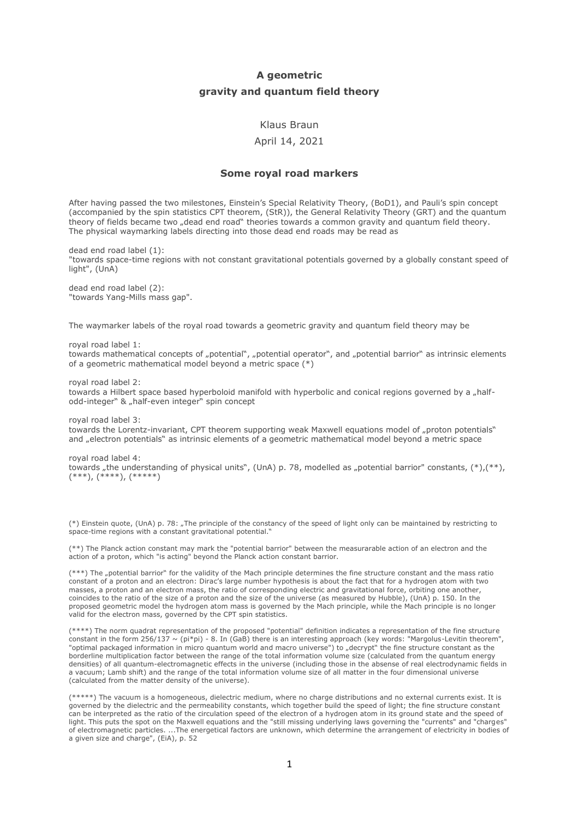# **A geometric gravity and quantum field theory**

## Klaus Braun

## April 14, 2021

#### **Some royal road markers**

After having passed the two milestones, Einstein's Special Relativity Theory, (BoD1), and Pauli's spin concept (accompanied by the spin statistics CPT theorem, (StR)), the General Relativity Theory (GRT) and the quantum theory of fields became two "dead end road" theories towards a common gravity and quantum field theory. The physical waymarking labels directing into those dead end roads may be read as

dead end road label (1): "towards space-time regions with not constant gravitational potentials governed by a globally constant speed of light", (UnA)

dead end road label (2): "towards Yang-Mills mass gap".

The waymarker labels of the royal road towards a geometric gravity and guantum field theory may be

royal road label 1: towards mathematical concepts of "potential", "potential operator", and "potential barrior" as intrinsic elements of a geometric mathematical model beyond a metric space (\*)

royal road label 2:

towards a Hilbert space based hyperboloid manifold with hyperbolic and conical regions governed by a "halfodd-integer" & "half-even integer" spin concept

royal road label 3: towards the Lorentz-invariant, CPT theorem supporting weak Maxwell equations model of "proton potentials" and "electron potentials" as intrinsic elements of a geometric mathematical model beyond a metric space

royal road label 4: towards "the understanding of physical units", (UnA) p. 78, modelled as "potential barrior" constants,  $(*$ ),  $(**)$ , (\*\*\*), (\*\*\*\*), (\*\*\*\*\*)

(\*) Einstein quote, (UnA) p. 78: "The principle of the constancy of the speed of light only can be maintained by restricting to space-time regions with a constant gravitational potential."

(\*\*) The Planck action constant may mark the "potential barrior" between the measurarable action of an electron and the action of a proton, which "is acting" beyond the Planck action constant barrior.

(\*\*\*) The "potential barrior" for the validity of the Mach principle determines the fine structure constant and the mass ratio constant of a proton and an electron: Dirac's large number hypothesis is about the fact that for a hydrogen atom with two masses, a proton and an electron mass, the ratio of corresponding electric and gravitational force, orbiting one another, coincides to the ratio of the size of a proton and the size of the universe (as measured by Hubble), (UnA) p. 150. In the proposed geometric model the hydrogen atom mass is governed by the Mach principle, while the Mach principle is no longer valid for the electron mass, governed by the CPT spin statistics.

(\*\*\*\*) The norm quadrat representation of the proposed "potential" definition indicates a representation of the fine structure constant in the form 256/137 ~ (pi\*pi) - 8. In (GaB) there is an interesting approach (key words: "Margolus-Levitin theorem", "optimal packaged information in micro quantum world and macro universe") to "decrypt" the fine structure constant as the borderline multiplication factor between the range of the total information volume size (calculated from the quantum energy densities) of all quantum-electromagnetic effects in the universe (including those in the absense of real electrodynamic fields in a vacuum; Lamb shift) and the range of the total information volume size of all matter in the four dimensional universe (calculated from the matter density of the universe).

(\*\*\*\*\*) The vacuum is a homogeneous, dielectric medium, where no charge distributions and no external currents exist. It is governed by the dielectric and the permeability constants, which together build the speed of light; the fine structure constant can be interpreted as the ratio of the circulation speed of the electron of a hydrogen atom in its ground state and the speed of light. This puts the spot on the Maxwell equations and the "still missing underlying laws governing the "currents" and "charges" of electromagnetic particles. ...The energetical factors are unknown, which determine the arrangement of electricity in bodies of a given size and charge", (EiA), p. 52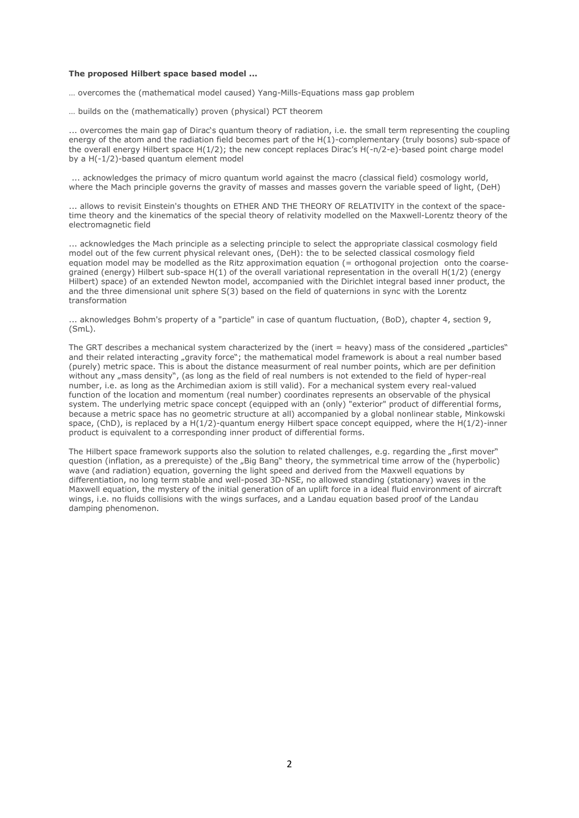#### **The proposed Hilbert space based model ...**

… overcomes the (mathematical model caused) Yang-Mills-Equations mass gap problem

… builds on the (mathematically) proven (physical) PCT theorem

... overcomes the main gap of Dirac's quantum theory of radiation, i.e. the small term representing the coupling energy of the atom and the radiation field becomes part of the H(1)-complementary (truly bosons) sub-space of the overall energy Hilbert space H(1/2); the new concept replaces Dirac's H(-n/2-e)-based point charge model by a H(-1/2)-based quantum element model

... acknowledges the primacy of micro quantum world against the macro (classical field) cosmology world, where the Mach principle governs the gravity of masses and masses govern the variable speed of light, (DeH)

... allows to revisit Einstein's thoughts on ETHER AND THE THEORY OF RELATIVITY in the context of the spacetime theory and the kinematics of the special theory of relativity modelled on the Maxwell-Lorentz theory of the electromagnetic field

... acknowledges the Mach principle as a selecting principle to select the appropriate classical cosmology field model out of the few current physical relevant ones, (DeH): the to be selected classical cosmology field equation model may be modelled as the Ritz approximation equation (= orthogonal projection onto the coarsegrained (energy) Hilbert sub-space H(1) of the overall variational representation in the overall H(1/2) (energy Hilbert) space) of an extended Newton model, accompanied with the Dirichlet integral based inner product, the and the three dimensional unit sphere S(3) based on the field of quaternions in sync with the Lorentz transformation

... aknowledges Bohm's property of a "particle" in case of quantum fluctuation, (BoD), chapter 4, section 9, (SmL).

The GRT describes a mechanical system characterized by the (inert  $=$  heavy) mass of the considered  $n$  particles" and their related interacting "gravity force"; the mathematical model framework is about a real number based (purely) metric space. This is about the distance measurment of real number points, which are per definition without any "mass density", (as long as the field of real numbers is not extended to the field of hyper-real number, i.e. as long as the Archimedian axiom is still valid). For a mechanical system every real-valued function of the location and momentum (real number) coordinates represents an observable of the physical system. The underlying metric space concept (equipped with an (only) "exterior" product of differential forms, because a metric space has no geometric structure at all) accompanied by a global nonlinear stable, Minkowski space, (ChD), is replaced by a H(1/2)-quantum energy Hilbert space concept equipped, where the H(1/2)-inner product is equivalent to a corresponding inner product of differential forms.

The Hilbert space framework supports also the solution to related challenges, e.g. regarding the "first mover" question (inflation, as a prerequiste) of the "Big Bang" theory, the symmetrical time arrow of the (hyperbolic) wave (and radiation) equation, governing the light speed and derived from the Maxwell equations by differentiation, no long term stable and well-posed 3D-NSE, no allowed standing (stationary) waves in the Maxwell equation, the mystery of the initial generation of an uplift force in a ideal fluid environment of aircraft wings, i.e. no fluids collisions with the wings surfaces, and a Landau equation based proof of the Landau damping phenomenon.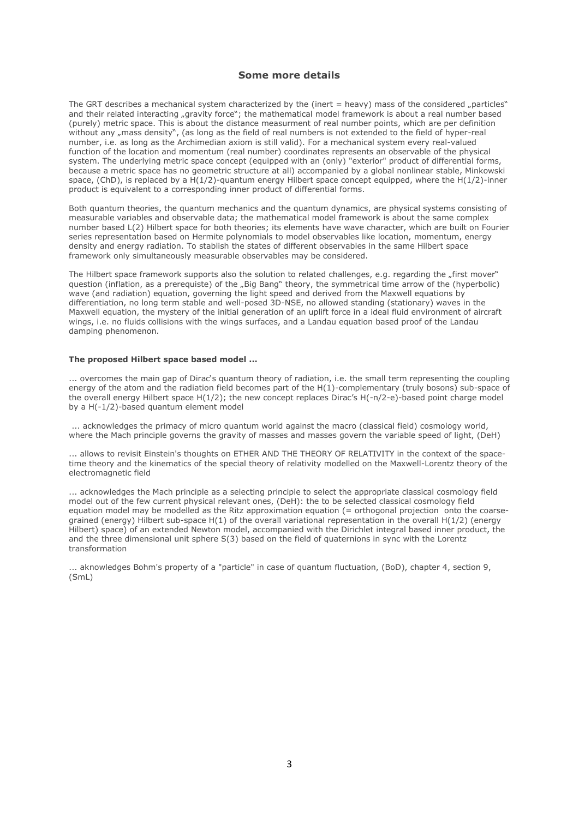## **Some more details**

The GRT describes a mechanical system characterized by the (inert  $=$  heavy) mass of the considered  $\_particles$ " and their related interacting "gravity force"; the mathematical model framework is about a real number based (purely) metric space. This is about the distance measurment of real number points, which are per definition without any "mass density", (as long as the field of real numbers is not extended to the field of hyper-real number, i.e. as long as the Archimedian axiom is still valid). For a mechanical system every real-valued function of the location and momentum (real number) coordinates represents an observable of the physical system. The underlying metric space concept (equipped with an (only) "exterior" product of differential forms, because a metric space has no geometric structure at all) accompanied by a global nonlinear stable, Minkowski space, (ChD), is replaced by a H(1/2)-quantum energy Hilbert space concept equipped, where the H(1/2)-inner product is equivalent to a corresponding inner product of differential forms.

Both quantum theories, the quantum mechanics and the quantum dynamics, are physical systems consisting of measurable variables and observable data; the mathematical model framework is about the same complex number based L(2) Hilbert space for both theories; its elements have wave character, which are built on Fourier series representation based on Hermite polynomials to model observables like location, momentum, energy density and energy radiation. To stablish the states of different observables in the same Hilbert space framework only simultaneously measurable observables may be considered.

The Hilbert space framework supports also the solution to related challenges, e.g. regarding the "first mover" question (inflation, as a prerequiste) of the "Big Bang" theory, the symmetrical time arrow of the (hyperbolic) wave (and radiation) equation, governing the light speed and derived from the Maxwell equations by differentiation, no long term stable and well-posed 3D-NSE, no allowed standing (stationary) waves in the Maxwell equation, the mystery of the initial generation of an uplift force in a ideal fluid environment of aircraft wings, i.e. no fluids collisions with the wings surfaces, and a Landau equation based proof of the Landau damping phenomenon.

#### **The proposed Hilbert space based model ...**

... overcomes the main gap of Dirac's quantum theory of radiation, i.e. the small term representing the coupling energy of the atom and the radiation field becomes part of the H(1)-complementary (truly bosons) sub-space of the overall energy Hilbert space H(1/2); the new concept replaces Dirac's H(-n/2-e)-based point charge model by a H(-1/2)-based quantum element model

... acknowledges the primacy of micro quantum world against the macro (classical field) cosmology world, where the Mach principle governs the gravity of masses and masses govern the variable speed of light, (DeH)

... allows to revisit Einstein's thoughts on ETHER AND THE THEORY OF RELATIVITY in the context of the spacetime theory and the kinematics of the special theory of relativity modelled on the Maxwell-Lorentz theory of the electromagnetic field

... acknowledges the Mach principle as a selecting principle to select the appropriate classical cosmology field model out of the few current physical relevant ones, (DeH): the to be selected classical cosmology field equation model may be modelled as the Ritz approximation equation  $(=$  orthogonal projection onto the coarsegrained (energy) Hilbert sub-space H(1) of the overall variational representation in the overall H(1/2) (energy Hilbert) space) of an extended Newton model, accompanied with the Dirichlet integral based inner product, the and the three dimensional unit sphere S(3) based on the field of quaternions in sync with the Lorentz transformation

... aknowledges Bohm's property of a "particle" in case of quantum fluctuation, (BoD), chapter 4, section 9, (SmL)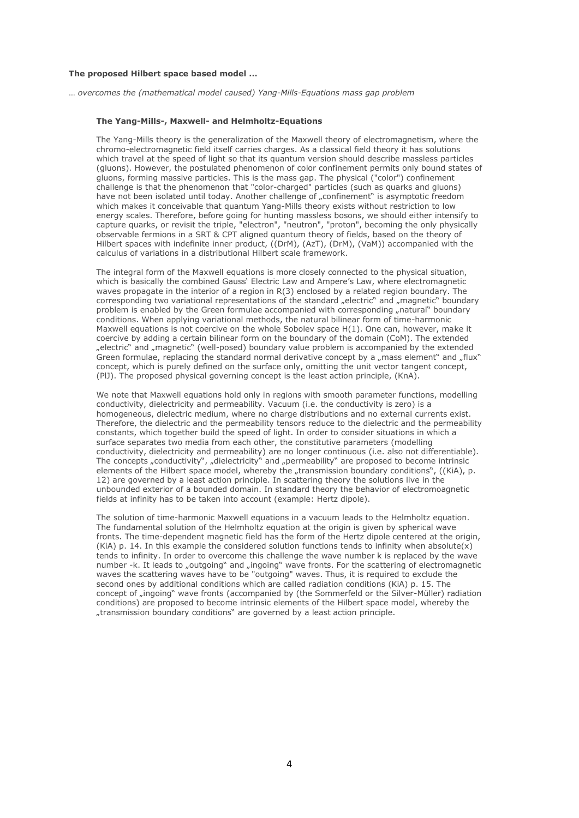#### **The proposed Hilbert space based model ...**

… *overcomes the (mathematical model caused) Yang-Mills-Equations mass gap problem*

#### **The Yang-Mills-, Maxwell- and Helmholtz-Equations**

The Yang-Mills theory is the generalization of the Maxwell theory of electromagnetism, where the chromo-electromagnetic field itself carries charges. As a classical field theory it has solutions which travel at the speed of light so that its quantum version should describe massless particles (gluons). However, the postulated phenomenon of color confinement permits only bound states of gluons, forming massive particles. This is the mass gap. The physical ("color") confinement challenge is that the phenomenon that "color-charged" particles (such as quarks and gluons) have not been isolated until today. Another challenge of "confinement" is asymptotic freedom which makes it conceivable that quantum Yang-Mills theory exists without restriction to low energy scales. Therefore, before going for hunting massless bosons, we should either intensify to capture quarks, or revisit the triple, "electron", "neutron", "proton", becoming the only physically observable fermions in a SRT & CPT aligned quantum theory of fields, based on the theory of Hilbert spaces with indefinite inner product, ((DrM), (AzT), (DrM), (VaM)) accompanied with the calculus of variations in a distributional Hilbert scale framework.

The integral form of the Maxwell equations is more closely connected to the physical situation, which is basically the combined Gauss' Electric Law and Ampere's Law, where electromagnetic waves propagate in the interior of a region in R(3) enclosed by a related region boundary. The corresponding two variational representations of the standard "electric" and "magnetic" boundary problem is enabled by the Green formulae accompanied with corresponding "natural" boundary conditions. When applying variational methods, the natural bilinear form of time-harmonic Maxwell equations is not coercive on the whole Sobolev space H(1). One can, however, make it coercive by adding a certain bilinear form on the boundary of the domain (CoM). The extended "electric" and "magnetic" (well-posed) boundary value problem is accompanied by the extended Green formulae, replacing the standard normal derivative concept by a "mass element" and "flux" concept, which is purely defined on the surface only, omitting the unit vector tangent concept, (PlJ). The proposed physical governing concept is the least action principle, (KnA).

We note that Maxwell equations hold only in regions with smooth parameter functions, modelling conductivity, dielectricity and permeability. Vacuum (i.e. the conductivity is zero) is a homogeneous, dielectric medium, where no charge distributions and no external currents exist. Therefore, the dielectric and the permeability tensors reduce to the dielectric and the permeability constants, which together build the speed of light. In order to consider situations in which a surface separates two media from each other, the constitutive parameters (modelling conductivity, dielectricity and permeability) are no longer continuous (i.e. also not differentiable). The concepts "conductivity", "dielectricity" and "permeability" are proposed to become intrinsic elements of the Hilbert space model, whereby the "transmission boundary conditions", ((KiA), p. 12) are governed by a least action principle. In scattering theory the solutions live in the unbounded exterior of a bounded domain. In standard theory the behavior of electromoagnetic fields at infinity has to be taken into account (example: Hertz dipole).

The solution of time-harmonic Maxwell equations in a vacuum leads to the Helmholtz equation. The fundamental solution of the Helmholtz equation at the origin is given by spherical wave fronts. The time-dependent magnetic field has the form of the Hertz dipole centered at the origin, (KiA) p. 14. In this example the considered solution functions tends to infinity when absolute(x) tends to infinity. In order to overcome this challenge the wave number k is replaced by the wave number -k. It leads to "outgoing" and "ingoing" wave fronts. For the scattering of electromagnetic waves the scattering waves have to be "outgoing" waves. Thus, it is required to exclude the second ones by additional conditions which are called radiation conditions (KiA) p. 15. The concept of "ingoing" wave fronts (accompanied by (the Sommerfeld or the Silver-Müller) radiation conditions) are proposed to become intrinsic elements of the Hilbert space model, whereby the "transmission boundary conditions" are governed by a least action principle.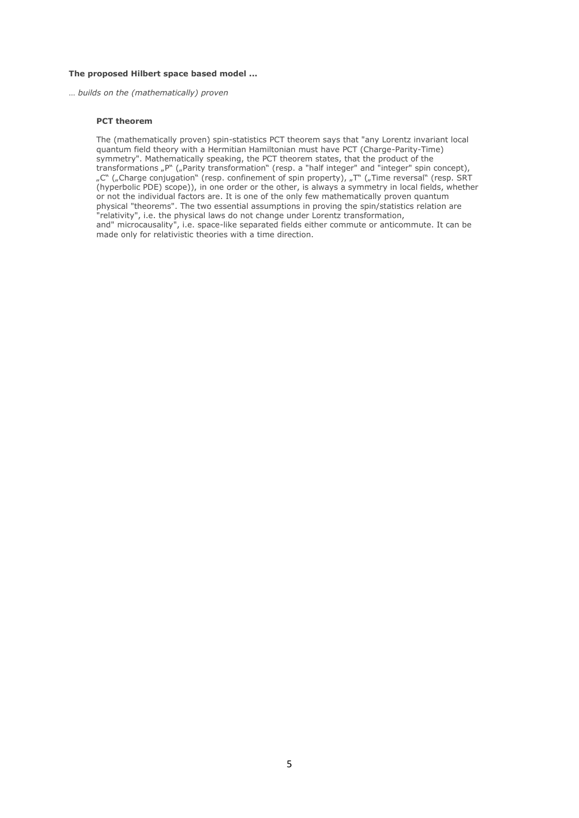#### **The proposed Hilbert space based model ...**

… *builds on the (mathematically) proven*

### **PCT theorem**

The (mathematically proven) spin-statistics PCT theorem says that "any Lorentz invariant local quantum field theory with a Hermitian Hamiltonian must have PCT (Charge-Parity-Time) symmetry". Mathematically speaking, the PCT theorem states, that the product of the transformations "P" ("Parity transformation" (resp. a "half integer" and "integer" spin concept), "C" ("Charge conjugation" (resp. confinement of spin property), "T" ("Time reversal" (resp. SRT (hyperbolic PDE) scope)), in one order or the other, is always a symmetry in local fields, whether or not the individual factors are. It is one of the only few mathematically proven quantum physical "theorems". The two essential assumptions in proving the spin/statistics relation are "relativity", i.e. the physical laws do not change under Lorentz transformation, and" microcausality", i.e. space-like separated fields either commute or anticommute. It can be made only for relativistic theories with a time direction.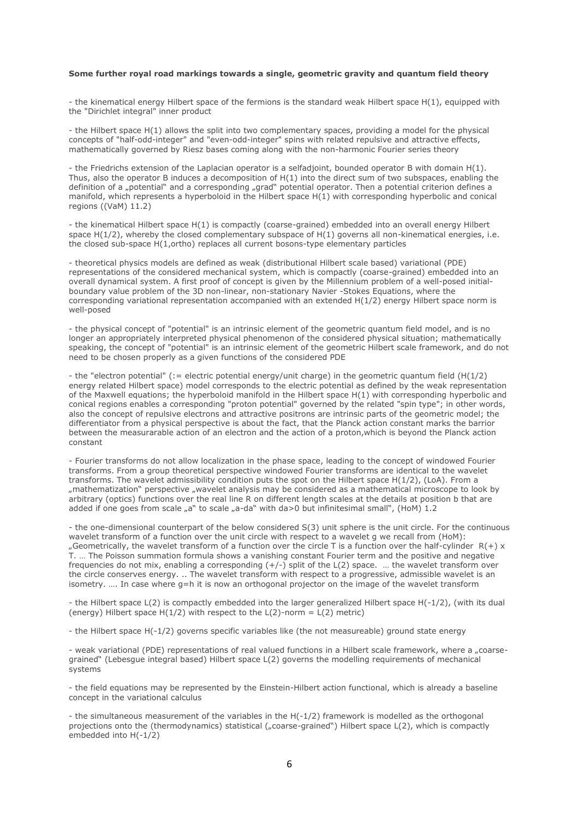#### **Some further royal road markings towards a single, geometric gravity and quantum field theory**

- the kinematical energy Hilbert space of the fermions is the standard weak Hilbert space H(1), equipped with the "Dirichlet integral" inner product

- the Hilbert space H(1) allows the split into two complementary spaces, providing a model for the physical concepts of "half-odd-integer" and "even-odd-integer" spins with related repulsive and attractive effects, mathematically governed by Riesz bases coming along with the non-harmonic Fourier series theory

- the Friedrichs extension of the Laplacian operator is a selfadjoint, bounded operator B with domain H(1). Thus, also the operator B induces a decomposition of H(1) into the direct sum of two subspaces, enabling the definition of a "potential" and a corresponding "grad" potential operator. Then a potential criterion defines a manifold, which represents a hyperboloid in the Hilbert space H(1) with corresponding hyperbolic and conical regions ((VaM) 11.2)

- the kinematical Hilbert space H(1) is compactly (coarse-grained) embedded into an overall energy Hilbert space  $H(1/2)$ , whereby the closed complementary subspace of  $H(1)$  governs all non-kinematical energies, i.e. the closed sub-space H(1,ortho) replaces all current bosons-type elementary particles

- theoretical physics models are defined as weak (distributional Hilbert scale based) variational (PDE) representations of the considered mechanical system, which is compactly (coarse-grained) embedded into an overall dynamical system. A first proof of concept is given by the Millennium problem of a well-posed initialboundary value problem of the 3D non-linear, non-stationary Navier -Stokes Equations, where the corresponding variational representation accompanied with an extended H(1/2) energy Hilbert space norm is well-posed

- the physical concept of "potential" is an intrinsic element of the geometric quantum field model, and is no longer an appropriately interpreted physical phenomenon of the considered physical situation; mathematically speaking, the concept of "potential" is an intrinsic element of the geometric Hilbert scale framework, and do not need to be chosen properly as a given functions of the considered PDE

- the "electron potential" (:= electric potential energy/unit charge) in the geometric quantum field (H(1/2) energy related Hilbert space) model corresponds to the electric potential as defined by the weak representation of the Maxwell equations; the hyperboloid manifold in the Hilbert space H(1) with corresponding hyperbolic and conical regions enables a corresponding "proton potential" governed by the related "spin type"; in other words, also the concept of repulsive electrons and attractive positrons are intrinsic parts of the geometric model; the differentiator from a physical perspective is about the fact, that the Planck action constant marks the barrior between the measurarable action of an electron and the action of a proton,which is beyond the Planck action constant

- Fourier transforms do not allow localization in the phase space, leading to the concept of windowed Fourier transforms. From a group theoretical perspective windowed Fourier transforms are identical to the wavelet transforms. The wavelet admissibility condition puts the spot on the Hilbert space H(1/2), (LoA). From a "mathematization" perspective "wavelet analysis may be considered as a mathematical microscope to look by arbitrary (optics) functions over the real line R on different length scales at the details at position b that are added if one goes from scale  $_n$ a" to scale  $_n$ a-da" with da>0 but infinitesimal small", (HoM) 1.2

- the one-dimensional counterpart of the below considered S(3) unit sphere is the unit circle. For the continuous wavelet transform of a function over the unit circle with respect to a wavelet g we recall from (HoM): "Geometrically, the wavelet transform of a function over the circle T is a function over the half-cylinder  $R(+)$  x T. … The Poisson summation formula shows a vanishing constant Fourier term and the positive and negative frequencies do not mix, enabling a corresponding  $(+/-)$  split of the L(2) space. ... the wavelet transform over the circle conserves energy. .. The wavelet transform with respect to a progressive, admissible wavelet is an isometry. …. In case where g=h it is now an orthogonal projector on the image of the wavelet transform

- the Hilbert space L(2) is compactly embedded into the larger generalized Hilbert space H(-1/2), (with its dual (energy) Hilbert space  $H(1/2)$  with respect to the  $L(2)$ -norm =  $L(2)$  metric)

- the Hilbert space H(-1/2) governs specific variables like (the not measureable) ground state energy

- weak variational (PDE) representations of real valued functions in a Hilbert scale framework, where a "coarsegrained" (Lebesgue integral based) Hilbert space L(2) governs the modelling requirements of mechanical systems

- the field equations may be represented by the Einstein-Hilbert action functional, which is already a baseline concept in the variational calculus

- the simultaneous measurement of the variables in the H(-1/2) framework is modelled as the orthogonal projections onto the (thermodynamics) statistical ("coarse-grained") Hilbert space L(2), which is compactly embedded into H(-1/2)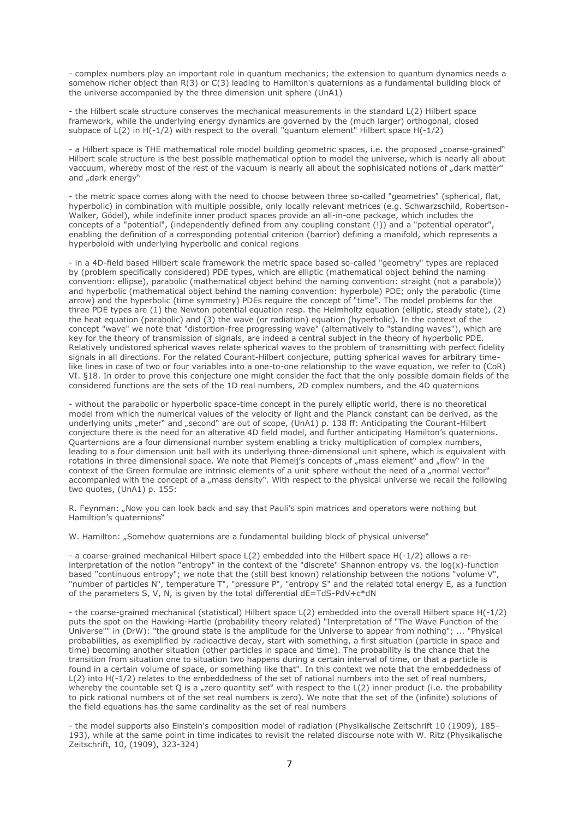- complex numbers play an important role in quantum mechanics; the extension to quantum dynamics needs a somehow richer object than R(3) or C(3) leading to Hamilton's quaternions as a fundamental building block of the universe accompanied by the three dimension unit sphere (UnA1)

- the Hilbert scale structure conserves the mechanical measurements in the standard L(2) Hilbert space framework, while the underlying energy dynamics are governed by the (much larger) orthogonal, closed subpace of  $L(2)$  in  $H(-1/2)$  with respect to the overall "quantum element" Hilbert space  $H(-1/2)$ 

- a Hilbert space is THE mathematical role model building geometric spaces, i.e. the proposed "coarse-grained" Hilbert scale structure is the best possible mathematical option to model the universe, which is nearly all about vaccuum, whereby most of the rest of the vacuum is nearly all about the sophisicated notions of "dark matter" and "dark energy"

- the metric space comes along with the need to choose between three so-called "geometries" (spherical, flat, hyperbolic) in combination with multiple possible, only locally relevant metrices (e.g. Schwarzschild, Robertson-Walker, Gödel), while indefinite inner product spaces provide an all-in-one package, which includes the concepts of a "potential", (independently defined from any coupling constant (!)) and a "potential operator", enabling the definition of a corresponding potential criterion (barrior) defining a manifold, which represents a hyperboloid with underlying hyperbolic and conical regions

- in a 4D-field based Hilbert scale framework the metric space based so-called "geometry" types are replaced by (problem specifically considered) PDE types, which are elliptic (mathematical object behind the naming convention: ellipse), parabolic (mathematical object behind the naming convention: straight (not a parabola)) and hyperbolic (mathematical object behind the naming convention: hyperbole) PDE; only the parabolic (time arrow) and the hyperbolic (time symmetry) PDEs require the concept of "time". The model problems for the three PDE types are (1) the Newton potential equation resp. the Helmholtz equation (elliptic, steady state), (2) the heat equation (parabolic) and (3) the wave (or radiation) equation (hyperbolic). In the context of the concept "wave" we note that "distortion-free progressing wave" (alternatively to "standing waves"), which are key for the theory of transmission of signals, are indeed a central subject in the theory of hyperbolic PDE. Relatively undistored spherical waves relate spherical waves to the problem of transmitting with perfect fidelity signals in all directions. For the related Courant-Hilbert conjecture, putting spherical waves for arbitrary timelike lines in case of two or four variables into a one-to-one relationship to the wave equation, we refer to (CoR) VI. §18. In order to prove this conjecture one might consider the fact that the only possible domain fields of the considered functions are the sets of the 1D real numbers, 2D complex numbers, and the 4D quaternions

- without the parabolic or hyperbolic space-time concept in the purely elliptic world, there is no theoretical model from which the numerical values of the velocity of light and the Planck constant can be derived, as the underlying units "meter" and "second" are out of scope, (UnA1) p. 138 ff: Anticipating the Courant-Hilbert conjecture there is the need for an alterative 4D field model, and further anticipating Hamilton's quaternions. Quarternions are a four dimensional number system enabling a tricky multiplication of complex numbers, leading to a four dimension unit ball with its underlying three-dimensional unit sphere, which is equivalent with rotations in three dimensional space. We note that Plemeli's concepts of "mass element" and "flow" in the context of the Green formulae are intrinsic elements of a unit sphere without the need of a "normal vector" accompanied with the concept of a "mass density". With respect to the physical universe we recall the following two quotes, (UnA1) p. 155:

R. Feynman: "Now you can look back and say that Pauli's spin matrices and operators were nothing but Hamiltion's quaternions"

W. Hamilton: "Somehow quaternions are a fundamental building block of physical universe"

- a coarse-grained mechanical Hilbert space L(2) embedded into the Hilbert space H(-1/2) allows a reinterpretation of the notion "entropy" in the context of the "discrete" Shannon entropy vs. the log(x)-function based "continuous entropy"; we note that the (still best known) relationship between the notions "volume V", "number of particles N", temperature T", "pressure P", "entropy S" and the related total energy E, as a function of the parameters S, V, N, is given by the total differential  $dE=TdS-PdV+c*dN$ 

- the coarse-grained mechanical (statistical) Hilbert space L(2) embedded into the overall Hilbert space H(-1/2) puts the spot on the Hawking-Hartle (probability theory related) "Interpretation of "The Wave Function of the Universe"" in (DrW): "the ground state is the amplitude for the Universe to appear from nothing"; ... "Physical probabilities, as exemplified by radioactive decay, start with something, a first situation (particle in space and time) becoming another situation (other particles in space and time). The probability is the chance that the transition from situation one to situation two happens during a certain interval of time, or that a particle is found in a certain volume of space, or something like that". In this context we note that the embeddedness of L(2) into H(-1/2) relates to the embeddedness of the set of rational numbers into the set of real numbers, whereby the countable set O is a "zero quantity set" with respect to the L(2) inner product (i.e. the probability to pick rational numbers ot of the set real numbers is zero). We note that the set of the (infinite) solutions of the field equations has the same cardinality as the set of real numbers

- the model supports also Einstein's composition model of radiation (Physikalische Zeitschrift 10 (1909), 185– 193), while at the same point in time indicates to revisit the related discourse note with W. Ritz (Physikalische Zeitschrift, 10, (1909), 323-324)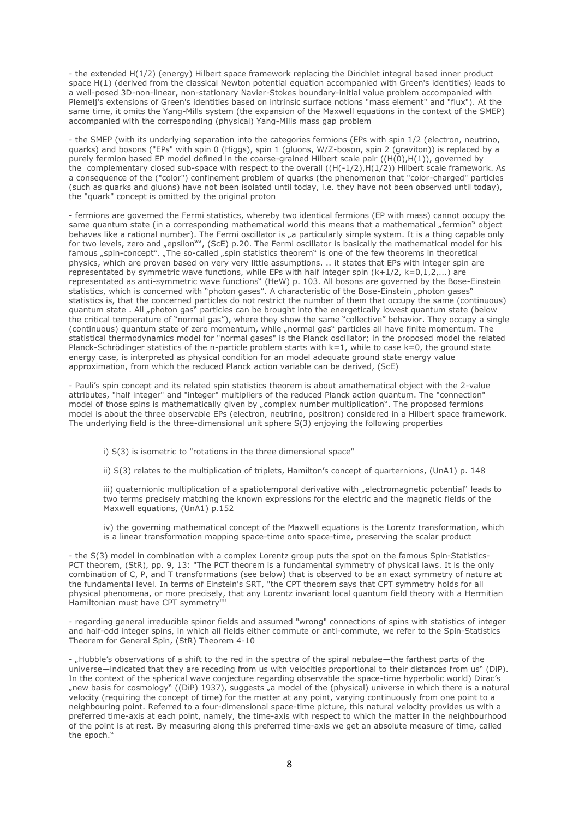- the extended H(1/2) (energy) Hilbert space framework replacing the Dirichlet integral based inner product space H(1) (derived from the classical Newton potential equation accompanied with Green's identities) leads to a well-posed 3D-non-linear, non-stationary Navier-Stokes boundary-initial value problem accompanied with Plemelj's extensions of Green's identities based on intrinsic surface notions "mass element" and "flux"). At the same time, it omits the Yang-Mills system (the expansion of the Maxwell equations in the context of the SMEP) accompanied with the corresponding (physical) Yang-Mills mass gap problem

- the SMEP (with its underlying separation into the categories fermions (EPs with spin 1/2 (electron, neutrino, quarks) and bosons ("EPs" with spin 0 (Higgs), spin 1 (gluons, W/Z-boson, spin 2 (graviton)) is replaced by a purely fermion based EP model defined in the coarse-grained Hilbert scale pair ((H(0),H(1)), governed by the complementary closed sub-space with respect to the overall  $(H(-1/2),H(1/2))$  Hilbert scale framework. As a consequence of the ("color") confinement problem of quarks (the phenomenon that "color-charged" particles (such as quarks and gluons) have not been isolated until today, i.e. they have not been observed until today), the "quark" concept is omitted by the original proton

- fermions are governed the Fermi statistics, whereby two identical fermions (EP with mass) cannot occupy the same quantum state (in a corresponding mathematical world this means that a mathematical "fermion" object behaves like a rational number). The Fermi oscillator is "a particularly simple system. It is a thing capable only for two levels, zero and "epsilon"", (ScE) p.20. The Fermi oscillator is basically the mathematical model for his famous "spin-concept". "The so-called "spin statistics theorem" is one of the few theorems in theoretical physics, which are proven based on very very little assumptions. .. it states that EPs with integer spin are representated by symmetric wave functions, while EPs with half integer spin  $(k+1/2, k=0,1,2,...)$  are representated as anti-symmetric wave functions" (HeW) p. 103. All bosons are governed by the Bose-Einstein statistics, which is concerned with "photon gases". A characteristic of the Bose-Einstein "photon gases" statistics is, that the concerned particles do not restrict the number of them that occupy the same (continuous) quantum state . All "photon gas" particles can be brought into the energetically lowest quantum state (below the critical temperature of "normal gas"), where they show the same "collective" behavior. They occupy a single (continuous) quantum state of zero momentum, while "normal gas" particles all have finite momentum. The statistical thermodynamics model for "normal gases" is the Planck oscillator; in the proposed model the related Planck-Schrödinger statistics of the n-particle problem starts with  $k=1$ , while to case  $k=0$ , the ground state energy case, is interpreted as physical condition for an model adequate ground state energy value approximation, from which the reduced Planck action variable can be derived, (ScE)

- Pauli's spin concept and its related spin statistics theorem is about amathematical object with the 2-value attributes, "half integer" and "integer" multipliers of the reduced Planck action quantum. The "connection" model of those spins is mathematically given by "complex number multiplication". The proposed fermions model is about the three observable EPs (electron, neutrino, positron) considered in a Hilbert space framework. The underlying field is the three-dimensional unit sphere S(3) enjoying the following properties

i) S(3) is isometric to "rotations in the three dimensional space"

ii) S(3) relates to the multiplication of triplets, Hamilton's concept of quarternions, (UnA1) p. 148

iii) quaternionic multiplication of a spatiotemporal derivative with "electromagnetic potential" leads to two terms precisely matching the known expressions for the electric and the magnetic fields of the Maxwell equations, (UnA1) p.152

iv) the governing mathematical concept of the Maxwell equations is the Lorentz transformation, which is a linear transformation mapping space-time onto space-time, preserving the scalar product

- the S(3) model in combination with a complex Lorentz group puts the spot on the famous Spin-Statistics-PCT theorem, (StR), pp. 9, 13: "The PCT theorem is a fundamental symmetry of physical laws. It is the only combination of C, P, and T transformations (see below) that is observed to be an exact symmetry of nature at the fundamental level. In terms of Einstein's SRT, "the CPT theorem says that CPT symmetry holds for all physical phenomena, or more precisely, that any Lorentz invariant local quantum field theory with a Hermitian Hamiltonian must have CPT symmetry""

- regarding general irreducible spinor fields and assumed "wrong" connections of spins with statistics of integer and half-odd integer spins, in which all fields either commute or anti-commute, we refer to the Spin-Statistics Theorem for General Spin, (StR) Theorem 4-10

- "Hubble's observations of a shift to the red in the spectra of the spiral nebulae—the farthest parts of the universe—indicated that they are receding from us with velocities proportional to their distances from us" (DiP). In the context of the spherical wave conjecture regarding observable the space-time hyperbolic world) Dirac's "new basis for cosmology" ((DiP) 1937), suggests "a model of the (physical) universe in which there is a natural velocity (requiring the concept of time) for the matter at any point, varying continuously from one point to a neighbouring point. Referred to a four-dimensional space-time picture, this natural velocity provides us with a preferred time-axis at each point, namely, the time-axis with respect to which the matter in the neighbourhood of the point is at rest. By measuring along this preferred time-axis we get an absolute measure of time, called the epoch."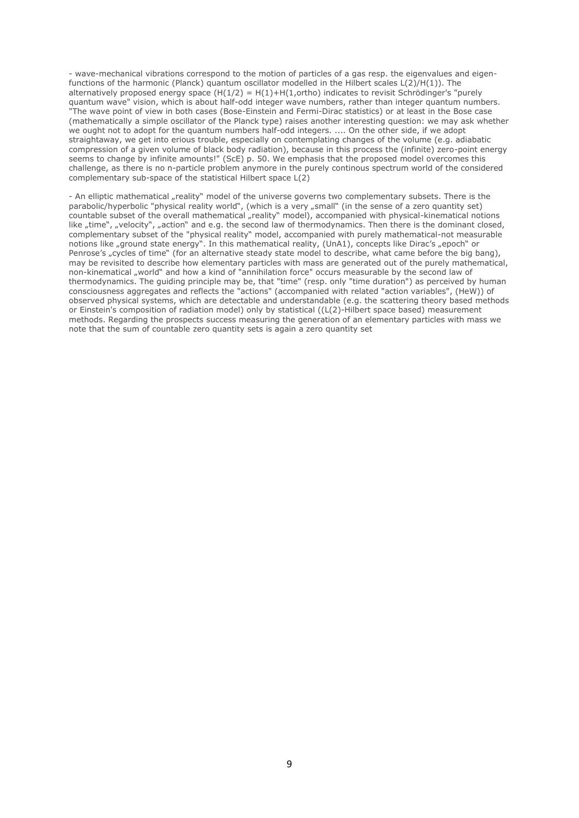- wave-mechanical vibrations correspond to the motion of particles of a gas resp. the eigenvalues and eigenfunctions of the harmonic (Planck) quantum oscillator modelled in the Hilbert scales L(2)/H(1)). The alternatively proposed energy space  $(H(1/2) = H(1) + H(1,ortho)$  indicates to revisit Schrödinger's "purely quantum wave" vision, which is about half-odd integer wave numbers, rather than integer quantum numbers. "The wave point of view in both cases (Bose-Einstein and Fermi-Dirac statistics) or at least in the Bose case (mathematically a simple oscillator of the Planck type) raises another interesting question: we may ask whether we ought not to adopt for the quantum numbers half-odd integers. .... On the other side, if we adopt straightaway, we get into erious trouble, especially on contemplating changes of the volume (e.g. adiabatic compression of a given volume of black body radiation), because in this process the (infinite) zero-point energy seems to change by infinite amounts!" (ScE) p. 50. We emphasis that the proposed model overcomes this challenge, as there is no n-particle problem anymore in the purely continous spectrum world of the considered complementary sub-space of the statistical Hilbert space L(2)

- An elliptic mathematical "reality" model of the universe governs two complementary subsets. There is the parabolic/hyperbolic "physical reality world", (which is a very "small" (in the sense of a zero quantity set) countable subset of the overall mathematical "reality" model), accompanied with physical-kinematical notions like "time", "velocity", "action" and e.g. the second law of thermodynamics. Then there is the dominant closed, complementary subset of the "physical reality" model, accompanied with purely mathematical-not measurable notions like "ground state energy". In this mathematical reality, (UnA1), concepts like Dirac's "epoch" or Penrose's "cycles of time" (for an alternative steady state model to describe, what came before the big bang), may be revisited to describe how elementary particles with mass are generated out of the purely mathematical, non-kinematical "world" and how a kind of "annihilation force" occurs measurable by the second law of thermodynamics. The guiding principle may be, that "time" (resp. only "time duration") as perceived by human consciousness aggregates and reflects the "actions" (accompanied with related "action variables", (HeW)) of observed physical systems, which are detectable and understandable (e.g. the scattering theory based methods or Einstein's composition of radiation model) only by statistical ((L(2)-Hilbert space based) measurement methods. Regarding the prospects success measuring the generation of an elementary particles with mass we note that the sum of countable zero quantity sets is again a zero quantity set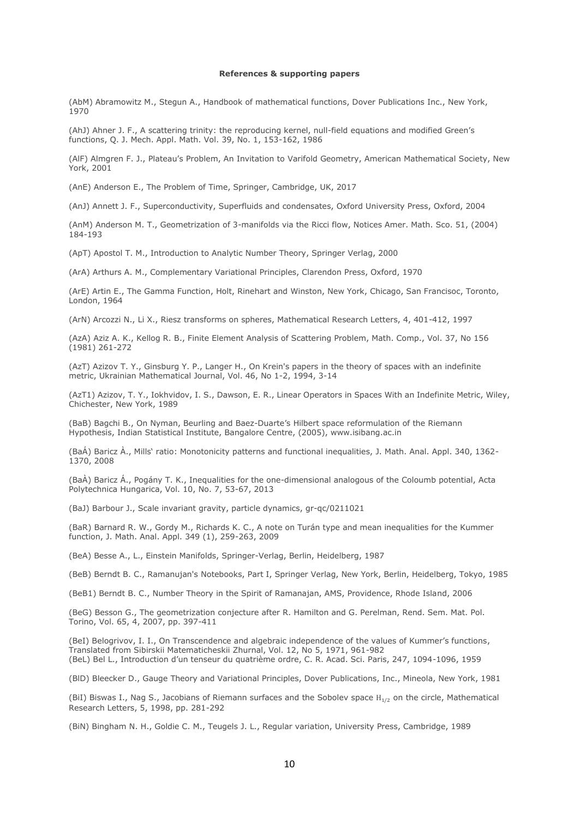#### **References & supporting papers**

(AbM) Abramowitz M., Stegun A., Handbook of mathematical functions, Dover Publications Inc., New York, 1970

(AhJ) Ahner J. F., A scattering trinity: the reproducing kernel, null-field equations and modified Green's functions, Q. J. Mech. Appl. Math. Vol. 39, No. 1, 153-162, 1986

(AlF) Almgren F. J., Plateau's Problem, An Invitation to Varifold Geometry, American Mathematical Society, New York, 2001

(AnE) Anderson E., The Problem of Time, Springer, Cambridge, UK, 2017

(AnJ) Annett J. F., Superconductivity, Superfluids and condensates, Oxford University Press, Oxford, 2004

(AnM) Anderson M. T., Geometrization of 3-manifolds via the Ricci flow, Notices Amer. Math. Sco. 51, (2004) 184-193

(ApT) Apostol T. M., Introduction to Analytic Number Theory, Springer Verlag, 2000

(ArA) Arthurs A. M., Complementary Variational Principles, Clarendon Press, Oxford, 1970

(ArE) Artin E., The Gamma Function, Holt, Rinehart and Winston, New York, Chicago, San Francisoc, Toronto, London, 1964

(ArN) Arcozzi N., Li X., Riesz transforms on spheres, Mathematical Research Letters, 4, 401-412, 1997

(AzA) Aziz A. K., Kellog R. B., Finite Element Analysis of Scattering Problem, Math. Comp., Vol. 37, No 156 (1981) 261-272

(AzT) Azizov T. Y., Ginsburg Y. P., Langer H., On Krein's papers in the theory of spaces with an indefinite metric, Ukrainian Mathematical Journal, Vol. 46, No 1-2, 1994, 3-14

(AzT1) Azizov, T. Y., Iokhvidov, I. S., Dawson, E. R., Linear Operators in Spaces With an Indefinite Metric, Wiley, Chichester, New York, 1989

(BaB) Bagchi B., On Nyman, Beurling and Baez-Duarte's Hilbert space reformulation of the Riemann Hypothesis, Indian Statistical Institute, Bangalore Centre, (2005), [www.isibang.ac.in](http://www.isibang.ac.in/)

(BaÁ) Baricz À., Mills' ratio: Monotonicity patterns and functional inequalities, J. Math. Anal. Appl. 340, 1362- 1370, 2008

(BaÀ) Baricz Á., Pogány T. K., Inequalities for the one-dimensional analogous of the Coloumb potential, Acta Polytechnica Hungarica, Vol. 10, No. 7, 53-67, 2013

(BaJ) Barbour J., Scale invariant gravity, particle dynamics, [gr-qc/0211021](https://arxiv.org/abs/gr-qc/0211021)

(BaR) Barnard R. W., Gordy M., Richards K. C., A note on Turán type and mean inequalities for the Kummer function, J. Math. Anal. Appl. 349 (1), 259-263, 2009

(BeA) Besse A., L., Einstein Manifolds, Springer-Verlag, Berlin, Heidelberg, 1987

(BeB) Berndt B. C., Ramanujan's Notebooks, Part I, Springer Verlag, New York, Berlin, Heidelberg, Tokyo, 1985

(BeB1) Berndt B. C., Number Theory in the Spirit of Ramanajan, AMS, Providence, Rhode Island, 2006

(BeG) Besson G., The geometrization conjecture after R. Hamilton and G. Perelman, Rend. Sem. Mat. Pol. Torino, Vol. 65, 4, 2007, pp. 397-411

(BeI) Belogrivov, I. I., On Transcendence and algebraic independence of the values of Kummer's functions, Translated from Sibirskii Matematicheskii Zhurnal, Vol. 12, No 5, 1971, 961-982 (BeL) Bel L., Introduction d'un tenseur du quatrième ordre, C. R. Acad. Sci. Paris, 247, 1094-1096, 1959

(BlD) Bleecker D., Gauge Theory and Variational Principles, Dover Publications, Inc., Mineola, New York, 1981

(BiI) Biswas I., Nag S., Jacobians of Riemann surfaces and the Sobolev space  $H_{1/2}$  on the circle, Mathematical Research Letters, 5, 1998, pp. 281-292

(BiN) Bingham N. H., Goldie C. M., Teugels J. L., Regular variation, University Press, Cambridge, 1989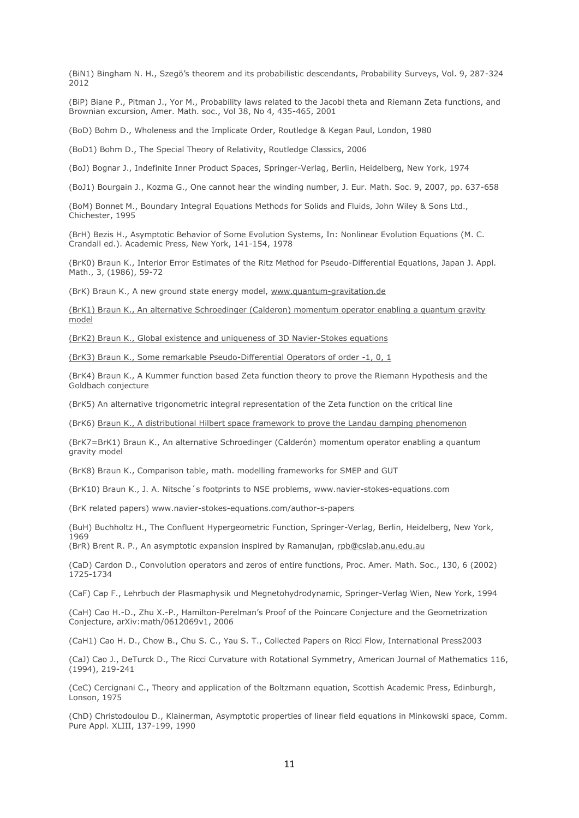(BiN1) Bingham N. H., Szegö's theorem and its probabilistic descendants, Probability Surveys, Vol. 9, 287-324 2012

(BiP) Biane P., Pitman J., Yor M., Probability laws related to the Jacobi theta and Riemann Zeta functions, and Brownian excursion, Amer. Math. soc., Vol 38, No 4, 435-465, 2001

(BoD) Bohm D., Wholeness and the Implicate Order, Routledge & Kegan Paul, London, 1980

(BoD1) Bohm D., The Special Theory of Relativity, Routledge Classics, 2006

(BoJ) Bognar J., Indefinite Inner Product Spaces, Springer-Verlag, Berlin, Heidelberg, New York, 1974

(BoJ1) Bourgain J., Kozma G., One cannot hear the winding number, J. Eur. Math. Soc. 9, 2007, pp. 637-658

(BoM) Bonnet M., Boundary Integral Equations Methods for Solids and Fluids, John Wiley & Sons Ltd., Chichester, 1995

(BrH) Bezis H., Asymptotic Behavior of Some Evolution Systems, In: Nonlinear Evolution Equations (M. C. Crandall ed.). Academic Press, New York, 141-154, 1978

(BrK0) Braun K., Interior Error Estimates of the Ritz Method for Pseudo-Differential Equations, Japan J. Appl. Math., 3, (1986), 59-72

(BrK) Braun K., A new ground state energy model, [www.quantum-gravitation.de](http://www.quantum-gravitation.de/)

[\(BrK1\) Braun K., An alternative Schroedinger \(Calderon\) momentum operator enabling a quantum gravity](http://www.fuchs-braun.com/null)  [model](http://www.fuchs-braun.com/null)

[\(BrK2\) Braun K., Global existence and uniqueness of](http://www.fuchs-braun.com/null) 3D Navier-Stokes equations

[\(BrK3\) Braun K., Some remarkable Pseudo-Differential Operators of order -1, 0, 1](http://www.fuchs-braun.com/null)

(BrK4) Braun K., A Kummer function based Zeta function theory to prove the Riemann Hypothesis and the Goldbach conjecture

(BrK5) An alternative trigonometric integral representation of the Zeta function on the critical line

(BrK6) [Braun K., A distributional Hilbert space framework to prove the Landau damping phenomenon](http://www.fuchs-braun.com/null)

(BrK7=BrK1) Braun K., An alternative Schroedinger (Calderón) momentum operator enabling a quantum gravity model

(BrK8) Braun K., Comparison table, math. modelling frameworks for SMEP and GUT

(BrK10) Braun K., J. A. Nitsche´s footprints to NSE problems, www.navier-stokes-equations.com

(BrK related papers) www.navier-stokes-equations.com/author-s-papers

(BuH) Buchholtz H., The Confluent Hypergeometric Function, Springer-Verlag, Berlin, Heidelberg, New York, 1969

(BrR) Brent R. P., An asymptotic expansion inspired by Ramanujan, [rpb@cslab.anu.edu.au](mailto:rpb@cslab.anu.edu.au)

(CaD) Cardon D., Convolution operators and zeros of entire functions, Proc. Amer. Math. Soc., 130, 6 (2002) 1725-1734

(CaF) Cap F., Lehrbuch der Plasmaphysik und Megnetohydrodynamic, Springer-Verlag Wien, New York, 1994

(CaH) Cao H.-D., Zhu X.-P., Hamilton-Perelman's Proof of the Poincare Conjecture and the Geometrization Conjecture, arXiv:math/0612069v1, 2006

(CaH1) Cao H. D., Chow B., Chu S. C., Yau S. T., Collected Papers on Ricci Flow, International Press2003

(CaJ) Cao J., DeTurck D., The Ricci Curvature with Rotational Symmetry, American Journal of Mathematics 116,  $(1994)$ , 219-241

(CeC) Cercignani C., Theory and application of the Boltzmann equation, Scottish Academic Press, Edinburgh, Lonson, 1975

(ChD) Christodoulou D., Klainerman, Asymptotic properties of linear field equations in Minkowski space, Comm. Pure Appl. XLIII, 137-199, 1990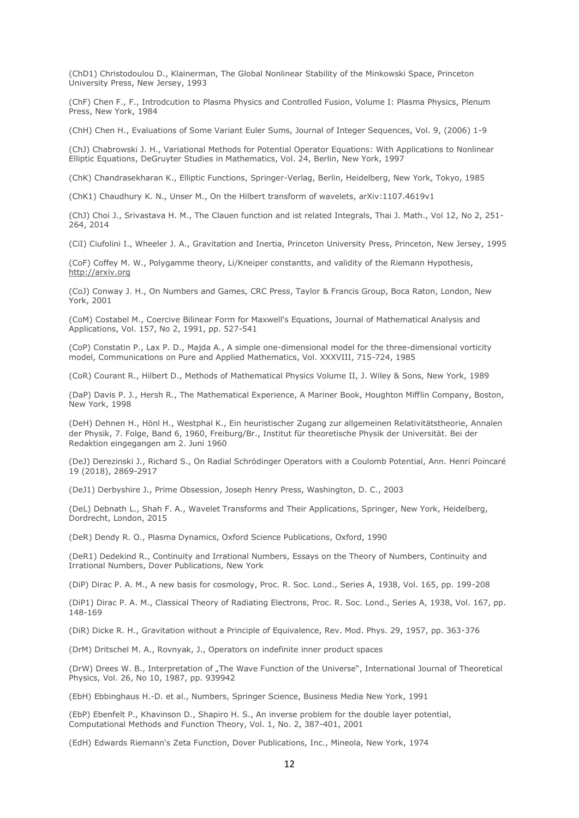(ChD1) Christodoulou D., Klainerman, The Global Nonlinear Stability of the Minkowski Space, Princeton University Press, New Jersey, 1993

(ChF) Chen F., F., Introdcution to Plasma Physics and Controlled Fusion, Volume I: Plasma Physics, Plenum Press, New York, 1984

(ChH) Chen H., Evaluations of Some Variant Euler Sums, Journal of Integer Sequences, Vol. 9, (2006) 1-9

(ChJ) Chabrowski J. H., Variational Methods for Potential Operator Equations: With Applications to Nonlinear Elliptic Equations, DeGruyter Studies in Mathematics, Vol. 24, Berlin, New York, 1997

(ChK) Chandrasekharan K., Elliptic Functions, Springer-Verlag, Berlin, Heidelberg, New York, Tokyo, 1985

(ChK1) Chaudhury K. N., Unser M., On the Hilbert transform of wavelets, arXiv:1107.4619v1

(ChJ) Choi J., Srivastava H. M., The Clauen function and ist related Integrals, Thai J. Math., Vol 12, No 2, 251- 264, 2014

(CiI) Ciufolini I., Wheeler J. A., Gravitation and Inertia, Princeton University Press, Princeton, New Jersey, 1995

(CoF) Coffey M. W., Polygamme theory, Li/Kneiper constantts, and validity of the Riemann Hypothesis, [http://arxiv.org](http://arxiv.org/)

(CoJ) Conway J. H., On Numbers and Games, CRC Press, Taylor & Francis Group, Boca Raton, London, New York, 2001

(CoM) Costabel M., Coercive Bilinear Form for Maxwell's Equations, Journal of Mathematical Analysis and Applications, Vol. 157, No 2, 1991, pp. 527-541

(CoP) Constatin P., Lax P. D., Majda A., A simple one-dimensional model for the three-dimensional vorticity model, Communications on Pure and Applied Mathematics, Vol. XXXVIII, 715-724, 1985

(CoR) Courant R., Hilbert D., Methods of Mathematical Physics Volume II, J. Wiley & Sons, New York, 1989

(DaP) Davis P. J., Hersh R., The Mathematical Experience, A Mariner Book, Houghton Mifflin Company, Boston, New York, 1998

(DeH) Dehnen H., Hönl H., Westphal K., Ein heuristischer Zugang zur allgemeinen Relativitätstheorie, Annalen der Physik, 7. Folge, Band 6, 1960, Freiburg/Br., Institut für theoretische Physik der Universität. Bei der Redaktion eingegangen am 2. Juni 1960

(DeJ) Derezinski J., Richard S., On Radial Schrödinger Operators with a Coulomb Potential, Ann. Henri Poincaré 19 (2018), 2869-2917

(DeJ1) Derbyshire J., Prime Obsession, Joseph Henry Press, Washington, D. C., 2003

(DeL) Debnath L., Shah F. A., Wavelet Transforms and Their Applications, Springer, New York, Heidelberg, Dordrecht, London, 2015

(DeR) Dendy R. O., Plasma Dynamics, Oxford Science Publications, Oxford, 1990

(DeR1) Dedekind R., Continuity and Irrational Numbers, Essays on the Theory of Numbers, Continuity and Irrational Numbers, Dover Publications, New York

(DiP) Dirac P. A. M., A new basis for cosmology, Proc. R. Soc. Lond., Series A, 1938, Vol. 165, pp. 199-208

(DiP1) Dirac P. A. M., Classical Theory of Radiating Electrons, Proc. R. Soc. Lond., Series A, 1938, Vol. 167, pp. 148-169

(DiR) Dicke R. H., Gravitation without a Principle of Equivalence, Rev. Mod. Phys. 29, 1957, pp. 363-376

(DrM) Dritschel M. A., Rovnyak, J., Operators on indefinite inner product spaces

(DrW) Drees W. B., Interpretation of "The Wave Function of the Universe", International Journal of Theoretical Physics, Vol. 26, No 10, 1987, pp. 939942

(EbH) Ebbinghaus H.-D. et al., Numbers, Springer Science, Business Media New York, 1991

(EbP) Ebenfelt P., Khavinson D., Shapiro H. S., An inverse problem for the double layer potential, Computational Methods and Function Theory, Vol. 1, No. 2, 387-401, 2001

(EdH) Edwards Riemann's Zeta Function, Dover Publications, Inc., Mineola, New York, 1974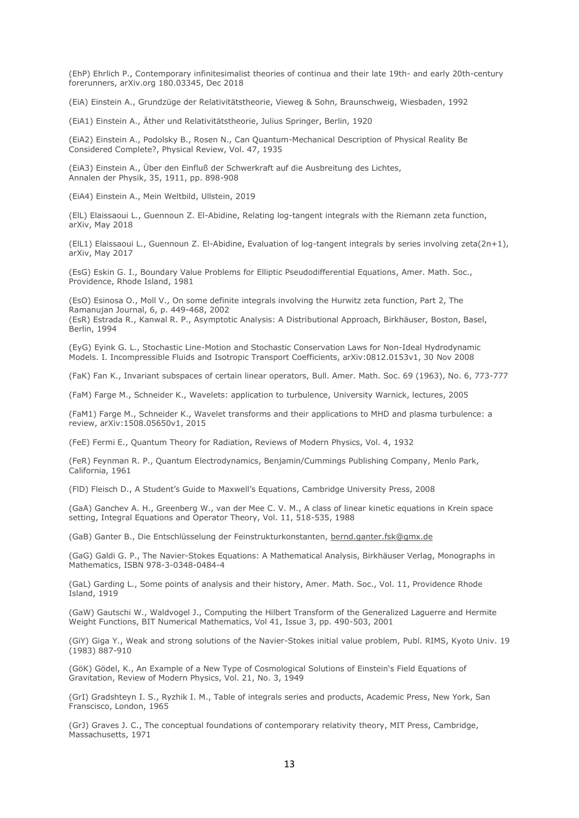(EhP) Ehrlich P., Contemporary infinitesimalist theories of continua and their late 19th- and early 20th-century forerunners, arXiv.org 180.03345, Dec 2018

(EiA) Einstein A., Grundzüge der Relativitätstheorie, Vieweg & Sohn, Braunschweig, Wiesbaden, 1992

(EiA1) Einstein A., Äther und Relativitätstheorie, Julius Springer, Berlin, 1920

(EiA2) Einstein A., Podolsky B., Rosen N., Can Quantum-Mechanical Description of Physical Reality Be Considered Complete?, Physical Review, Vol. 47, 1935

(EiA3) Einstein A., Über den Einfluß der Schwerkraft auf die Ausbreitung des Lichtes, Annalen der Physik, 35, 1911, pp. 898-908

(EiA4) Einstein A., Mein Weltbild, Ullstein, 2019

(ElL) Elaissaoui L., Guennoun Z. El-Abidine, Relating log-tangent integrals with the Riemann zeta function, arXiv, May 2018

(ElL1) Elaissaoui L., Guennoun Z. El-Abidine, Evaluation of log-tangent integrals by series involving zeta(2n+1), arXiv, May 2017

(EsG) Eskin G. I., Boundary Value Problems for Elliptic Pseudodifferential Equations, Amer. Math. Soc., Providence, Rhode Island, 1981

(EsO) Esinosa O., Moll V., On some definite integrals involving the Hurwitz zeta function, Part 2, The Ramanujan Journal, 6, p. 449-468, 2002 (EsR) Estrada R., Kanwal R. P., Asymptotic Analysis: A Distributional Approach, Birkhäuser, Boston, Basel, Berlin, 1994

(EyG) Eyink G. L., Stochastic Line-Motion and Stochastic Conservation Laws for Non-Ideal Hydrodynamic Models. I. Incompressible Fluids and Isotropic Transport Coefficients, arXiv:0812.0153v1, 30 Nov 2008

(FaK) Fan K., Invariant subspaces of certain linear operators, Bull. Amer. Math. Soc. 69 (1963), No. 6, 773-777

(FaM) Farge M., Schneider K., Wavelets: application to turbulence, University Warnick, lectures, 2005

(FaM1) Farge M., Schneider K., Wavelet transforms and their applications to MHD and plasma turbulence: a review, arXiv:1508.05650v1, 2015

(FeE) Fermi E., Quantum Theory for Radiation, Reviews of Modern Physics, Vol. 4, 1932

(FeR) Feynman R. P., Quantum Electrodynamics, Benjamin/Cummings Publishing Company, Menlo Park, California, 1961

(FlD) Fleisch D., A Student's Guide to Maxwell's Equations, Cambridge University Press, 2008

(GaA) Ganchev A. H., Greenberg W., van der Mee C. V. M., A class of linear kinetic equations in Krein space setting, Integral Equations and Operator Theory, Vol. 11, 518-535, 1988

(GaB) Ganter B., Die Entschlüsselung der Feinstrukturkonstanten, [bernd.ganter.fsk@gmx.de](mailto:bernd.ganter.fsk@gmx.de)

(GaG) Galdi G. P., The Navier-Stokes Equations: A Mathematical Analysis, Birkhäuser Verlag, Monographs in Mathematics, ISBN 978-3-0348-0484-4

(GaL) Garding L., Some points of analysis and their history, Amer. Math. Soc., Vol. 11, Providence Rhode Island, 1919

(GaW) Gautschi W., Waldvogel J., Computing the Hilbert Transform of the Generalized Laguerre and Hermite Weight Functions, BIT Numerical Mathematics, Vol 41, Issue 3, pp. 490-503, 2001

(GiY) Giga Y., Weak and strong solutions of the Navier-Stokes initial value problem, Publ. RIMS, Kyoto Univ. 19 (1983) 887-910

(GöK) Gödel, K., An Example of a New Type of Cosmological Solutions of Einstein's Field Equations of Gravitation, Review of Modern Physics, Vol. 21, No. 3, 1949

(GrI) Gradshteyn I. S., Ryzhik I. M., Table of integrals series and products, Academic Press, New York, San Franscisco, London, 1965

(GrJ) Graves J. C., The conceptual foundations of contemporary relativity theory, MIT Press, Cambridge, Massachusetts, 1971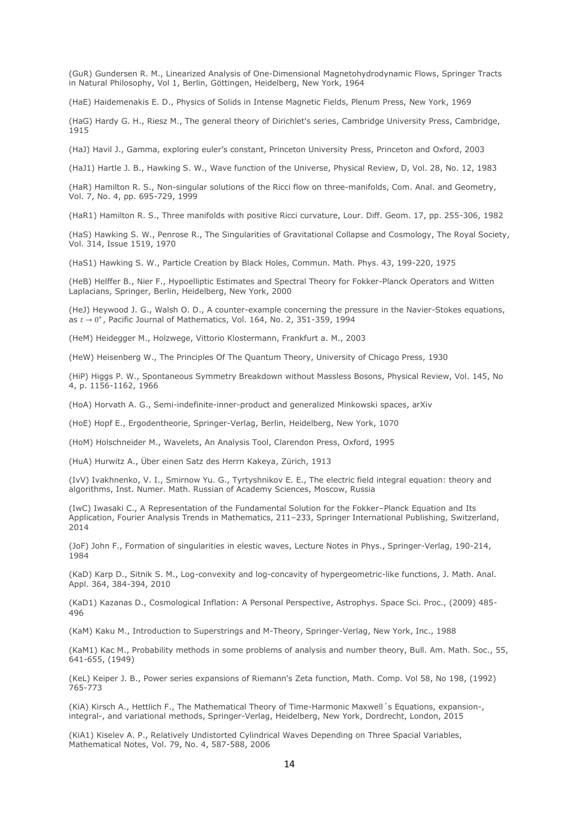(GuR) Gundersen R. M., Linearized Analysis of One-Dimensional Magnetohydrodynamic Flows, Springer Tracts in Natural Philosophy, Vol 1, Berlin, Göttingen, Heidelberg, New York, 1964

(HaE) Haidemenakis E. D., Physics of Solids in Intense Magnetic Fields, Plenum Press, New York, 1969

(HaG) Hardy G. H., Riesz M., The general theory of Dirichlet's series, Cambridge University Press, Cambridge, 1915

(HaJ) Havil J., Gamma, exploring euler's constant, Princeton University Press, Princeton and Oxford, 2003

(HaJ1) Hartle J. B., Hawking S. W., Wave function of the Universe, Physical Review, D, Vol. 28, No. 12, 1983

(HaR) Hamilton R. S., Non-singular solutions of the Ricci flow on three-manifolds, Com. Anal. and Geometry, Vol. 7, No. 4, pp. 695-729, 1999

(HaR1) Hamilton R. S., Three manifolds with positive Ricci curvature, Lour. Diff. Geom. 17, pp. 255-306, 1982

(HaS) Hawking S. W., Penrose R., The Singularities of Gravitational Collapse and Cosmology, The Royal Society, Vol. 314, Issue 1519, 1970

(HaS1) Hawking S. W., Particle Creation by Black Holes, Commun. Math. Phys. 43, 199-220, 1975

(HeB) Helffer B., Nier F., Hypoelliptic Estimates and Spectral Theory for Fokker-Planck Operators and Witten Laplacians, Springer, Berlin, Heidelberg, New York, 2000

(HeJ) Heywood J. G., Walsh O. D., A counter-example concerning the pressure in the Navier-Stokes equations, as  $t \rightarrow 0^+$ , Pacific Journal of Mathematics, Vol. 164, No. 2, 351-359, 1994

(HeM) Heidegger M., Holzwege, Vittorio Klostermann, Frankfurt a. M., 2003

(HeW) Heisenberg W., The Principles Of The Quantum Theory, University of Chicago Press, 1930

(HiP) Higgs P. W., Spontaneous Symmetry Breakdown without Massless Bosons, Physical Review, Vol. 145, No 4, p. 1156-1162, 1966

(HoA) Horvath A. G., Semi-indefinite-inner-product and generalized Minkowski spaces, arXiv

(HoE) Hopf E., Ergodentheorie, Springer-Verlag, Berlin, Heidelberg, New York, 1070

(HoM) Holschneider M., Wavelets, An Analysis Tool, Clarendon Press, Oxford, 1995

(HuA) Hurwitz A., Über einen Satz des Herrn Kakeya, Zürich, 1913

(IvV) Ivakhnenko, V. I., Smirnow Yu. G., Tyrtyshnikov E. E., The electric field integral equation: theory and algorithms, Inst. Numer. Math. Russian of Academy Sciences, Moscow, Russia

(IwC) Iwasaki C., A Representation of the Fundamental Solution for the Fokker–Planck Equation and Its Application, Fourier Analysis Trends in Mathematics, 211–233, Springer International Publishing, Switzerland, 2014

(JoF) John F., Formation of singularities in elestic waves, Lecture Notes in Phys., Springer-Verlag, 190-214, 1984

(KaD) Karp D., Sitnik S. M., Log-convexity and log-concavity of hypergeometric-like functions, J. Math. Anal. Appl. 364, 384-394, 2010

(KaD1) Kazanas D., Cosmological Inflation: A Personal Perspective, Astrophys. Space Sci. Proc., (2009) 485- 496

(KaM) Kaku M., Introduction to Superstrings and M-Theory, Springer-Verlag, New York, Inc., 1988

(KaM1) Kac M., Probability methods in some problems of analysis and number theory, Bull. Am. Math. Soc., 55, 641-655, (1949)

(KeL) Keiper J. B., Power series expansions of Riemann's Zeta function, Math. Comp. Vol 58, No 198, (1992) 765-773

(KiA) Kirsch A., Hettlich F., The Mathematical Theory of Time-Harmonic Maxwell´s Equations, expansion-, integral-, and variational methods, Springer-Verlag, Heidelberg, New York, Dordrecht, London, 2015

(KiA1) Kiselev A. P., Relatively Undistorted Cylindrical Waves Depending on Three Spacial Variables, Mathematical Notes, Vol. 79, No. 4, 587-588, 2006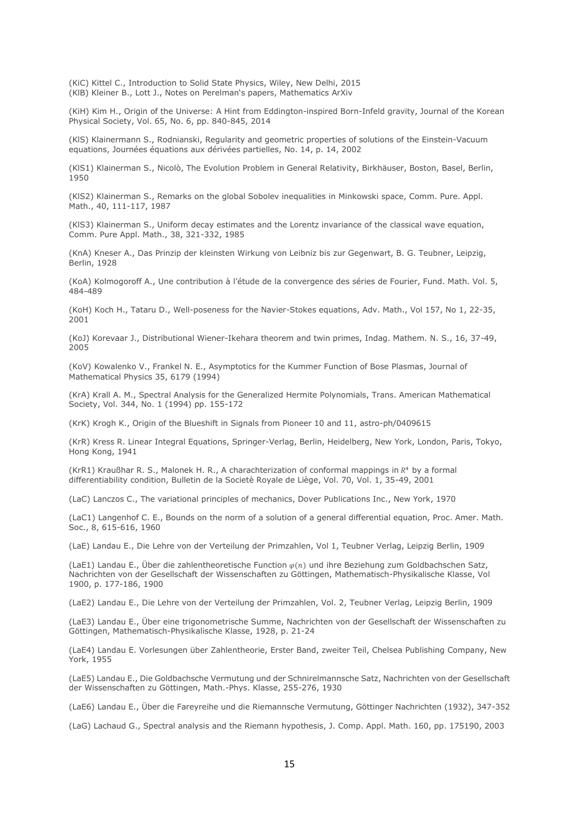(KiC) Kittel C., Introduction to Solid State Physics, Wiley, New Delhi, 2015 (KlB) Kleiner B., Lott J., Notes on Perelman's papers, Mathematics ArXiv

(KiH) Kim H., Origin of the Universe: A Hint from Eddington-inspired Born-Infeld gravity, Journal of the Korean Physical Society, Vol. 65, No. 6, pp. 840-845, 2014

(KlS) Klainermann S., Rodnianski, Regularity and geometric properties of solutions of the Einstein-Vacuum equations, Journées équations aux dérivées partielles, No. 14, p. 14, 2002

(KlS1) Klainerman S., Nicolò, The Evolution Problem in General Relativity, Birkhäuser, Boston, Basel, Berlin, 1950

(KlS2) Klainerman S., Remarks on the global Sobolev inequalities in Minkowski space, Comm. Pure. Appl. Math., 40, 111-117, 1987

(KlS3) Klainerman S., Uniform decay estimates and the Lorentz invariance of the classical wave equation, Comm. Pure Appl. Math., 38, 321-332, 1985

(KnA) Kneser A., Das Prinzip der kleinsten Wirkung von Leibniz bis zur Gegenwart, B. G. Teubner, Leipzig, Berlin, 1928

(KoA) Kolmogoroff A., Une contribution à l'étude de la convergence des séries de Fourier, Fund. Math. Vol. 5, 484-489

(KoH) Koch H., Tataru D., Well-poseness for the Navier-Stokes equations, Adv. Math., Vol 157, No 1, 22-35, 2001

(KoJ) Korevaar J., Distributional Wiener-Ikehara theorem and twin primes, Indag. Mathem. N. S., 16, 37-49, 2005

(KoV) Kowalenko V., Frankel N. E., Asymptotics for the Kummer Function of Bose Plasmas, Journal of Mathematical Physics 35, 6179 (1994)

(KrA) Krall A. M., Spectral Analysis for the Generalized Hermite Polynomials, Trans. American Mathematical Society, Vol. 344, No. 1 (1994) pp. 155-172

(KrK) Krogh K., Origin of the Blueshift in Signals from Pioneer 10 and 11, [astro-ph/0409615](https://arxiv.org/abs/astro-ph/0409615)

(KrR) Kress R. Linear Integral Equations, Springer-Verlag, Berlin, Heidelberg, New York, London, Paris, Tokyo, Hong Kong, 1941

(KrR1) Kraußhar R. S., Malonek H. R., A charachterization of conformal mappings in  $R<sup>4</sup>$  by a formal differentiability condition, Bulletin de la Societè Royale de Liège, Vol. 70, Vol. 1, 35-49, 2001

(LaC) Lanczos C., The variational principles of mechanics, Dover Publications Inc., New York, 1970

(LaC1) Langenhof C. E., Bounds on the norm of a solution of a general differential equation, Proc. Amer. Math. Soc., 8, 615-616, 1960

(LaE) Landau E., Die Lehre von der Verteilung der Primzahlen, Vol 1, Teubner Verlag, Leipzig Berlin, 1909

(LaE1) Landau E., Über die zahlentheoretische Function  $\varphi(n)$  und ihre Beziehung zum Goldbachschen Satz, Nachrichten von der Gesellschaft der Wissenschaften zu Göttingen, Mathematisch-Physikalische Klasse, Vol 1900, p. 177-186, 1900

(LaE2) Landau E., Die Lehre von der Verteilung der Primzahlen, Vol. 2, Teubner Verlag, Leipzig Berlin, 1909

(LaE3) Landau E., Über eine trigonometrische Summe, Nachrichten von der Gesellschaft der Wissenschaften zu Göttingen, Mathematisch-Physikalische Klasse, 1928, p. 21-24

(LaE4) Landau E. Vorlesungen über Zahlentheorie, Erster Band, zweiter Teil, Chelsea Publishing Company, New York, 1955

(LaE5) Landau E., Die Goldbachsche Vermutung und der Schnirelmannsche Satz, Nachrichten von der Gesellschaft der Wissenschaften zu Göttingen, Math.-Phys. Klasse, 255-276, 1930

(LaE6) Landau E., Über die Fareyreihe und die Riemannsche Vermutung, Göttinger Nachrichten (1932), 347-352

(LaG) Lachaud G., Spectral analysis and the Riemann hypothesis, J. Comp. Appl. Math. 160, pp. 175190, 2003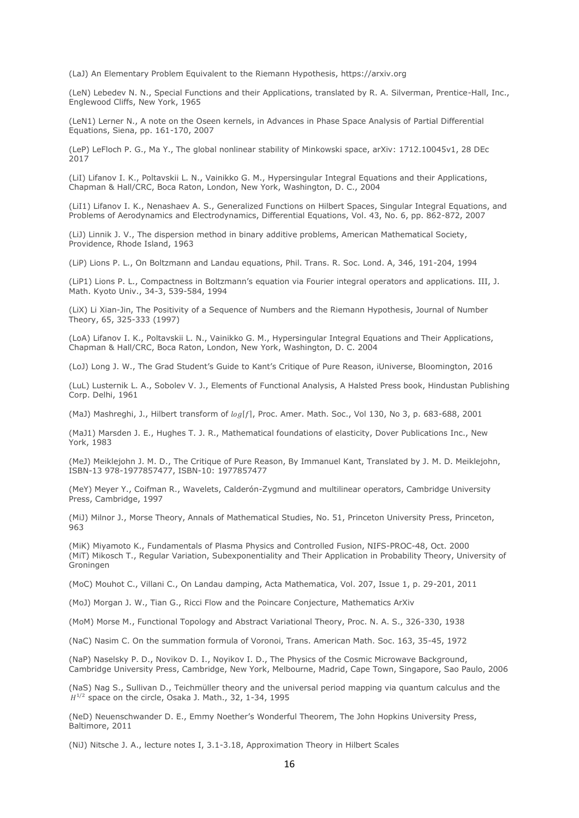(LaJ) An Elementary Problem Equivalent to the Riemann Hypothesis, https://arxiv.org

(LeN) Lebedev N. N., Special Functions and their Applications, translated by R. A. Silverman, Prentice-Hall, Inc., Englewood Cliffs, New York, 1965

(LeN1) Lerner N., A note on the Oseen kernels, in Advances in Phase Space Analysis of Partial Differential Equations, Siena, pp. 161-170, 2007

(LeP) LeFloch P. G., Ma Y., The global nonlinear stability of Minkowski space, arXiv: 1712.10045v1, 28 DEc 2017

(LiI) Lifanov I. K., Poltavskii L. N., Vainikko G. M., Hypersingular Integral Equations and their Applications, Chapman & Hall/CRC, Boca Raton, London, New York, Washington, D. C., 2004

(LiI1) Lifanov I. K., Nenashaev A. S., Generalized Functions on Hilbert Spaces, Singular Integral Equations, and Problems of Aerodynamics and Electrodynamics, Differential Equations, Vol. 43, No. 6, pp. 862-872, 2007

(LiJ) Linnik J. V., The dispersion method in binary additive problems, American Mathematical Society, Providence, Rhode Island, 1963

(LiP) Lions P. L., On Boltzmann and Landau equations, Phil. Trans. R. Soc. Lond. A, 346, 191-204, 1994

(LiP1) Lions P. L., Compactness in Boltzmann's equation via Fourier integral operators and applications. III, J. Math. Kyoto Univ., 34-3, 539-584, 1994

(LiX) Li Xian-Jin, The Positivity of a Sequence of Numbers and the Riemann Hypothesis, Journal of Number Theory, 65, 325-333 (1997)

(LoA) Lifanov I. K., Poltavskii L. N., Vainikko G. M., Hypersingular Integral Equations and Their Applications, Chapman & Hall/CRC, Boca Raton, London, New York, Washington, D. C. 2004

(LoJ) Long J. W., The Grad Student's Guide to Kant's Critique of Pure Reason, iUniverse, Bloomington, 2016

(LuL) Lusternik L. A., Sobolev V. J., Elements of Functional Analysis, A Halsted Press book, Hindustan Publishing Corp. Delhi, 1961

(MaJ) Mashreghi, J., Hilbert transform of  $log[f]$ , Proc. Amer. Math. Soc., Vol 130, No 3, p. 683-688, 2001

(MaJ1) Marsden J. E., Hughes T. J. R., Mathematical foundations of elasticity, Dover Publications Inc., New York, 1983

(MeJ) Meiklejohn J. M. D., The Critique of Pure Reason, By Immanuel Kant, Translated by J. M. D. Meiklejohn, ISBN-13 978-1977857477, ISBN-10: 1977857477

(MeY) Meyer Y., Coifman R., Wavelets, Calderón-Zygmund and multilinear operators, Cambridge University Press, Cambridge, 1997

(MiJ) Milnor J., Morse Theory, Annals of Mathematical Studies, No. 51, Princeton University Press, Princeton, 963

(MiK) Miyamoto K., Fundamentals of Plasma Physics and Controlled Fusion, NIFS-PROC-48, Oct. 2000 (MiT) Mikosch T., Regular Variation, Subexponentiality and Their Application in Probability Theory, University of Groningen

(MoC) Mouhot C., Villani C., On Landau damping, Acta Mathematica, Vol. 207, Issue 1, p. 29-201, 2011

(MoJ) Morgan J. W., Tian G., Ricci Flow and the Poincare Conjecture, Mathematics ArXiv

(MoM) Morse M., Functional Topology and Abstract Variational Theory, Proc. N. A. S., 326-330, 1938

(NaC) Nasim C. On the summation formula of Voronoi, Trans. American Math. Soc. 163, 35-45, 1972

(NaP) Naselsky P. D., Novikov D. I., Noyikov I. D., The Physics of the Cosmic Microwave Background, Cambridge University Press, Cambridge, New York, Melbourne, Madrid, Cape Town, Singapore, Sao Paulo, 2006

(NaS) Nag S., Sullivan D., Teichmüller theory and the universal period mapping via quantum calculus and the  $H^{1/2}$  space on the circle, Osaka J. Math., 32, 1-34, 1995

(NeD) Neuenschwander D. E., Emmy Noether's Wonderful Theorem, The John Hopkins University Press, Baltimore, 2011

(NiJ) Nitsche J. A., lecture notes I, 3.1-3.18, Approximation Theory in Hilbert Scales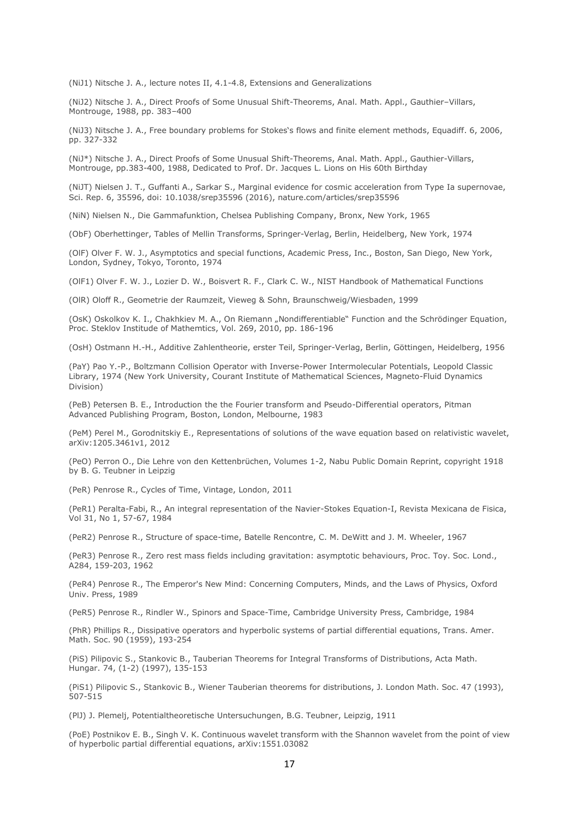(NiJ1) Nitsche J. A., lecture notes II, 4.1-4.8, Extensions and Generalizations

(NiJ2) Nitsche J. A., Direct Proofs of Some Unusual Shift-Theorems, Anal. Math. Appl., Gauthier–Villars, Montrouge, 1988, pp. 383–400

(NiJ3) Nitsche J. A., Free boundary problems for Stokes's flows and finite element methods, Equadiff. 6, 2006, pp. 327-332

(NiJ\*) Nitsche J. A., Direct Proofs of Some Unusual Shift-Theorems, Anal. Math. Appl., Gauthier-Villars, Montrouge, pp.383-400, 1988, Dedicated to Prof. Dr. Jacques L. Lions on His 60th Birthday

(NiJT) Nielsen J. T., Guffanti A., Sarkar S., Marginal evidence for cosmic acceleration from Type Ia supernovae, Sci. Rep. 6, 35596, doi: 10.1038/srep35596 (2016), nature.com/articles/srep35596

(NiN) Nielsen N., Die Gammafunktion, Chelsea Publishing Company, Bronx, New York, 1965

(ObF) Oberhettinger, Tables of Mellin Transforms, Springer-Verlag, Berlin, Heidelberg, New York, 1974

(OlF) Olver F. W. J., Asymptotics and special functions, Academic Press, Inc., Boston, San Diego, New York, London, Sydney, Tokyo, Toronto, 1974

(OlF1) Olver F. W. J., Lozier D. W., Boisvert R. F., Clark C. W., NIST Handbook of Mathematical Functions

(OlR) Oloff R., Geometrie der Raumzeit, Vieweg & Sohn, Braunschweig/Wiesbaden, 1999

(OsK) Oskolkov K. I., Chakhkiev M. A., On Riemann "Nondifferentiable" Function and the Schrödinger Equation, Proc. Steklov Institude of Mathemtics, Vol. 269, 2010, pp. 186-196

(OsH) Ostmann H.-H., Additive Zahlentheorie, erster Teil, Springer-Verlag, Berlin, Göttingen, Heidelberg, 1956

(PaY) Pao Y.-P., Boltzmann Collision Operator with Inverse-Power Intermolecular Potentials, Leopold Classic Library, 1974 (New York University, Courant Institute of Mathematical Sciences, Magneto-Fluid Dynamics Division)

(PeB) Petersen B. E., Introduction the the Fourier transform and Pseudo-Differential operators, Pitman Advanced Publishing Program, Boston, London, Melbourne, 1983

(PeM) Perel M., Gorodnitskiy E., Representations of solutions of the wave equation based on relativistic wavelet, arXiv:1205.3461v1, 2012

(PeO) Perron O., Die Lehre von den Kettenbrüchen, Volumes 1-2, Nabu Public Domain Reprint, copyright 1918 by B. G. Teubner in Leipzig

(PeR) Penrose R., Cycles of Time, Vintage, London, 2011

(PeR1) Peralta-Fabi, R., An integral representation of the Navier-Stokes Equation-I, Revista Mexicana de Fisica, Vol 31, No 1, 57-67, 1984

(PeR2) Penrose R., Structure of space-time, Batelle Rencontre, C. M. DeWitt and J. M. Wheeler, 1967

(PeR3) Penrose R., Zero rest mass fields including gravitation: asymptotic behaviours, Proc. Toy. Soc. Lond., A284, 159-203, 1962

(PeR4) Penrose R., The Emperor's New Mind: Concerning Computers, Minds, and the Laws of Physics, Oxford Univ. Press, 1989

(PeR5) Penrose R., Rindler W., Spinors and Space-Time, Cambridge University Press, Cambridge, 1984

(PhR) Phillips R., Dissipative operators and hyperbolic systems of partial differential equations, Trans. Amer. Math. Soc. 90 (1959), 193-254

(PiS) Pilipovic S., Stankovic B., Tauberian Theorems for Integral Transforms of Distributions, Acta Math. Hungar. 74, (1-2) (1997), 135-153

(PiS1) Pilipovic S., Stankovic B., Wiener Tauberian theorems for distributions, J. London Math. Soc. 47 (1993), 507-515

(PlJ) J. Plemelj, Potentialtheoretische Untersuchungen, B.G. Teubner, Leipzig, 1911

(PoE) Postnikov E. B., Singh V. K. Continuous wavelet transform with the Shannon wavelet from the point of view of hyperbolic partial differential equations, arXiv:1551.03082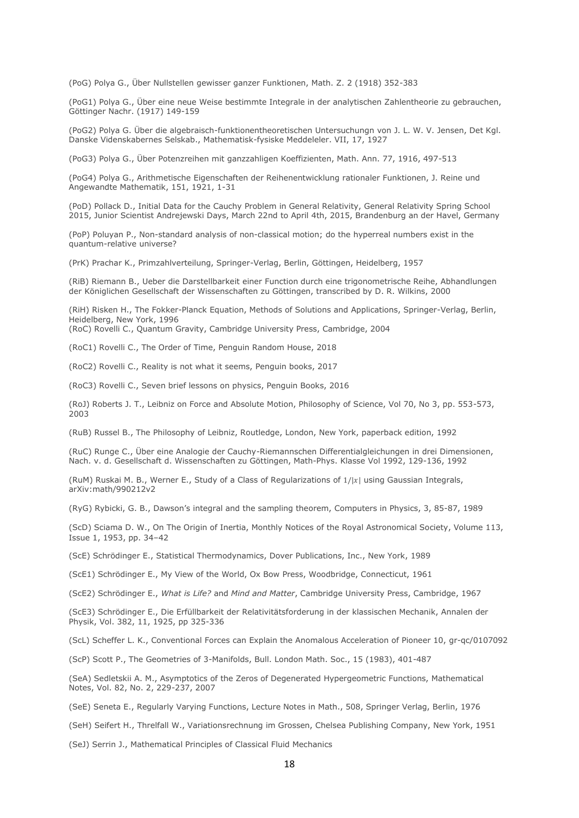(PoG) Polya G., Über Nullstellen gewisser ganzer Funktionen, Math. Z. 2 (1918) 352-383

(PoG1) Polya G., Über eine neue Weise bestimmte Integrale in der analytischen Zahlentheorie zu gebrauchen, Göttinger Nachr. (1917) 149-159

(PoG2) Polya G. Über die algebraisch-funktionentheoretischen Untersuchungn von J. L. W. V. Jensen, Det Kgl. Danske Videnskabernes Selskab., Mathematisk-fysiske Meddeleler. VII, 17, 1927

(PoG3) Polya G., Über Potenzreihen mit ganzzahligen Koeffizienten, Math. Ann. 77, 1916, 497-513

(PoG4) Polya G., Arithmetische Eigenschaften der Reihenentwicklung rationaler Funktionen, J. Reine und Angewandte Mathematik, 151, 1921, 1-31

(PoD) Pollack D., Initial Data for the Cauchy Problem in General Relativity, General Relativity Spring School 2015, Junior Scientist Andrejewski Days, March 22nd to April 4th, 2015, Brandenburg an der Havel, Germany

(PoP) Poluyan P., Non-standard analysis of non-classical motion; do the hyperreal numbers exist in the quantum-relative universe?

(PrK) Prachar K., Primzahlverteilung, Springer-Verlag, Berlin, Göttingen, Heidelberg, 1957

(RiB) Riemann B., Ueber die Darstellbarkeit einer Function durch eine trigonometrische Reihe, Abhandlungen der Königlichen Gesellschaft der Wissenschaften zu Göttingen, transcribed by D. R. Wilkins, 2000

(RiH) Risken H., The Fokker-Planck Equation, Methods of Solutions and Applications, Springer-Verlag, Berlin, Heidelberg, New York, 1996

(RoC) Rovelli C., Quantum Gravity, Cambridge University Press, Cambridge, 2004

(RoC1) Rovelli C., The Order of Time, Penguin Random House, 2018

(RoC2) Rovelli C., Reality is not what it seems, Penguin books, 2017

(RoC3) Rovelli C., Seven brief lessons on physics, Penguin Books, 2016

(RoJ) Roberts J. T., Leibniz on Force and Absolute Motion, Philosophy of Science, Vol 70, No 3, pp. 553-573, 2003

(RuB) Russel B., The Philosophy of Leibniz, Routledge, London, New York, paperback edition, 1992

(RuC) Runge C., Über eine Analogie der Cauchy-Riemannschen Differentialgleichungen in drei Dimensionen, Nach. v. d. Gesellschaft d. Wissenschaften zu Göttingen, Math-Phys. Klasse Vol 1992, 129-136, 1992

(RuM) Ruskai M. B., Werner E., Study of a Class of Regularizations of  $1/|x|$  using Gaussian Integrals, arXiv:math/990212v2

(RyG) Rybicki, G. B., Dawson's integral and the sampling theorem, Computers in Physics, 3, 85-87, 1989

(ScD) Sciama D. W., On The Origin of Inertia, Monthly Notices of the Royal Astronomical Society, Volume 113, Issue 1, 1953, pp. 34–42

(ScE) Schrödinger E., Statistical Thermodynamics, Dover Publications, Inc., New York, 1989

(ScE1) Schrödinger E., My View of the World, Ox Bow Press, Woodbridge, Connecticut, 1961

(ScE2) Schrödinger E., *What is Life?* and *Mind and Matter*, Cambridge University Press, Cambridge, 1967

(ScE3) Schrödinger E., Die Erfüllbarkeit der Relativitätsforderung in der klassischen Mechanik, Annalen der Physik, Vol. 382, 11, 1925, pp 325-336

(ScL) Scheffer L. K., Conventional Forces can Explain the Anomalous Acceleration of Pioneer 10, [gr-qc/0107092](https://arxiv.org/abs/gr-qc/0107092)

(ScP) Scott P., The Geometries of 3-Manifolds, Bull. London Math. Soc., 15 (1983), 401-487

(SeA) Sedletskii A. M., Asymptotics of the Zeros of Degenerated Hypergeometric Functions, Mathematical Notes, Vol. 82, No. 2, 229-237, 2007

(SeE) Seneta E., Regularly Varying Functions, Lecture Notes in Math., 508, Springer Verlag, Berlin, 1976

(SeH) Seifert H., Threlfall W., Variationsrechnung im Grossen, Chelsea Publishing Company, New York, 1951

(SeJ) Serrin J., Mathematical Principles of Classical Fluid Mechanics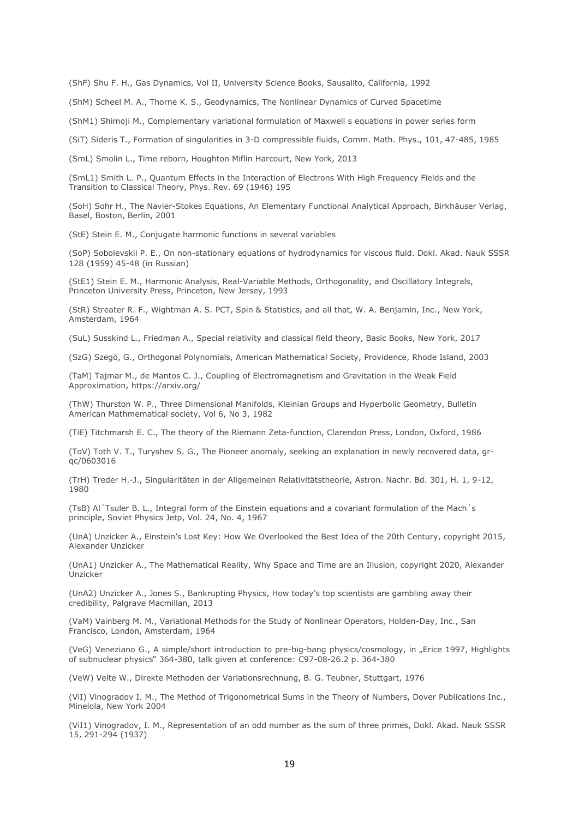(ShF) Shu F. H., Gas Dynamics, Vol II, University Science Books, Sausalito, California, 1992

(ShM) Scheel M. A., Thorne K. S., Geodynamics, The Nonlinear Dynamics of Curved Spacetime

(ShM1) Shimoji M., Complementary variational formulation of Maxwell s equations in power series form

(SiT) Sideris T., Formation of singularities in 3-D compressible fluids, Comm. Math. Phys., 101, 47-485, 1985

(SmL) Smolin L., Time reborn, Houghton Miflin Harcourt, New York, 2013

(SmL1) Smith L. P., Quantum Effects in the Interaction of Electrons With High Frequency Fields and the Transition to Classical Theory, Phys. Rev. 69 (1946) 195

(SoH) Sohr H., The Navier-Stokes Equations, An Elementary Functional Analytical Approach, Birkhäuser Verlag, Basel, Boston, Berlin, 2001

(StE) Stein E. M., Conjugate harmonic functions in several variables

(SoP) Sobolevskii P. E., On non-stationary equations of hydrodynamics for viscous fluid. Dokl. Akad. Nauk SSSR 128 (1959) 45-48 (in Russian)

(StE1) Stein E. M., Harmonic Analysis, Real-Variable Methods, Orthogonality, and Oscillatory Integrals, Princeton University Press, Princeton, New Jersey, 1993

(StR) Streater R. F., Wightman A. S. PCT, Spin & Statistics, and all that, W. A. Benjamin, Inc., New York, Amsterdam, 1964

(SuL) Susskind L., Friedman A., Special relativity and classical field theory, Basic Books, New York, 2017

(SzG) Szegö, G., Orthogonal Polynomials, American Mathematical Society, Providence, Rhode Island, 2003

(TaM) Tajmar M., de Mantos C. J., Coupling of Electromagnetism and Gravitation in the Weak Field Approximation, <https://arxiv.org/>

(ThW) Thurston W. P., Three Dimensional Manifolds, Kleinian Groups and Hyperbolic Geometry, Bulletin American Mathmematical society, Vol 6, No 3, 1982

(TiE) Titchmarsh E. C., The theory of the Riemann Zeta-function, Clarendon Press, London, Oxford, 1986

(ToV) Toth V. T., Turyshev S. G., The Pioneer anomaly, seeking an explanation in newly recovered data[, gr](https://arxiv.org/abs/gr-qc/0603016)[qc/0603016](https://arxiv.org/abs/gr-qc/0603016)

(TrH) Treder H.-J., Singularitäten in der Allgemeinen Relativitätstheorie, Astron. Nachr. Bd. 301, H. 1, 9-12, 1980

(TsB) Al´Tsuler B. L., Integral form of the Einstein equations and a covariant formulation of the Mach´s principle, Soviet Physics Jetp, Vol. 24, No. 4, 1967

(UnA) Unzicker A., Einstein's Lost Key: How We Overlooked the Best Idea of the 20th Century, copyright 2015, Alexander Unzicker

(UnA1) Unzicker A., The Mathematical Reality, Why Space and Time are an Illusion, copyright 2020, Alexander Unzicker

(UnA2) Unzicker A., Jones S., Bankrupting Physics, How today's top scientists are gambling away their credibility, Palgrave Macmillan, 2013

(VaM) Vainberg M. M., Variational Methods for the Study of Nonlinear Operators, Holden-Day, Inc., San Francisco, London, Amsterdam, 1964

(VeG) Veneziano G., A simple/short introduction to pre-big-bang physics/cosmology, in "Erice 1997, Highlights of subnuclear physics" 364-380, talk given at conference: C97-08-26.2 p. 364-380

(VeW) Velte W., Direkte Methoden der Variationsrechnung, B. G. Teubner, Stuttgart, 1976

(ViI) Vinogradov I. M., The Method of Trigonometrical Sums in the Theory of Numbers, Dover Publications Inc., Minelola, New York 2004

(ViI1) Vinogradov, I. M., Representation of an odd number as the sum of three primes, Dokl. Akad. Nauk SSSR 15, 291-294 (1937)